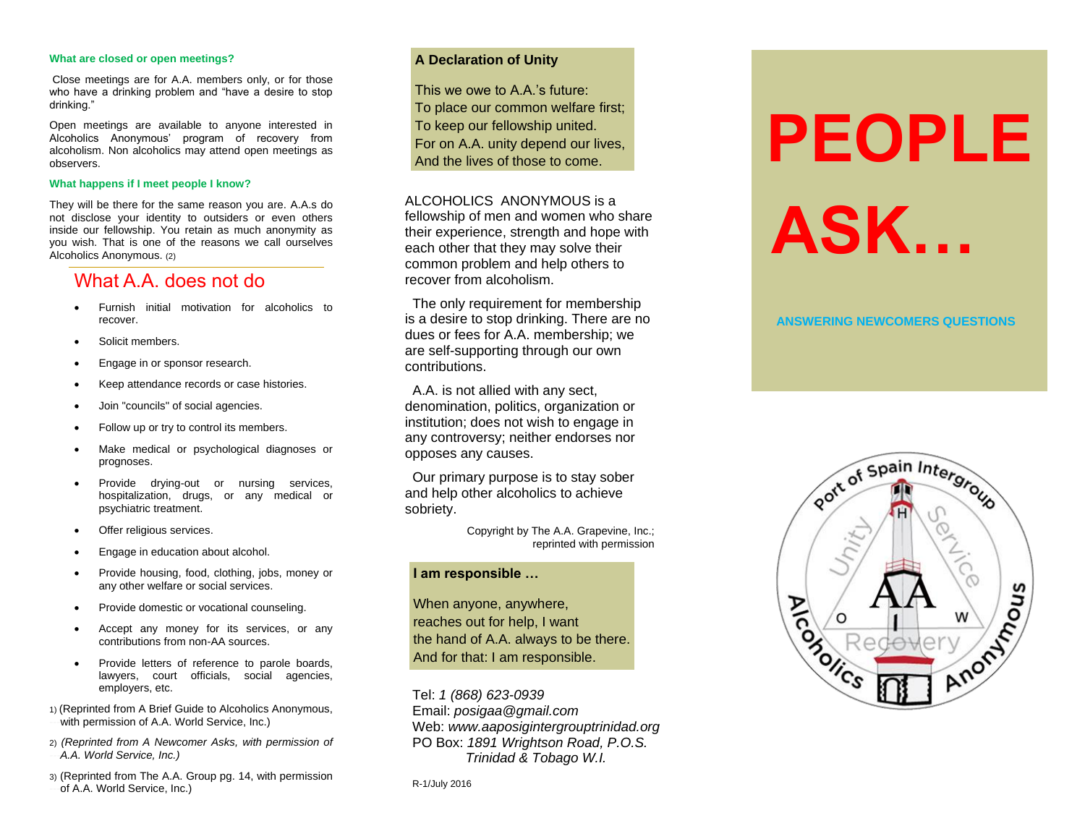#### **What are closed or open meetings?**

Close meetings are for A.A. members only, or for those who have a drinking problem and "have a desire to stop drinking."

Open meetings are available to anyone interested in Alcoholics Anonymous' program of recovery from alcoholism. Non alcoholics may attend open meetings as observers.

#### **What happens if I meet people I know?**

They will be there for the same reason you are. A.A.s do not disclose your identity to outsiders or even others inside our fellowship. You retain as much anonymity as you wish. That is one of the reasons we call ourselves Alcoholics Anonymous. (2)

# What A.A. does not do

- Furnish initial motivation for alcoholics to recover.
- Solicit members.
- Engage in or sponsor research.
- Keep attendance records or case histories.
- Join "councils" of social agencies.
- Follow up or try to control its members.
- Make medical or psychological diagnoses or prognoses.
- Provide drying-out or nursing services, hospitalization, drugs, or any medical or psychiatric treatment.
- Offer religious services.
- Engage in education about alcohol.
- Provide housing, food, clothing, jobs, money or any other welfare or social services.
- Provide domestic or vocational counseling.
- Accept any money for its services, or any contributions from non-AA sources.
- Provide letters of reference to parole boards, lawyers, court officials, social agencies, employers, etc.
- 1) (Reprinted from A Brief Guide to Alcoholics Anonymous, with permission of A.A. World Service, Inc.)
- 2) *(Reprinted from A Newcomer Asks, with permission of*   $-A.A.$  *World Service, Inc.)*
- 3) (Reprinted from The A.A. Group pg. 14, with permission of A.A. World Service, Inc.)

# **A Declaration of Unity**

This we owe to A A 's future: To place our common welfare first; To keep our fellowship united. For on A.A. unity depend our lives, And the lives of those to come.

# ALCOHOLICS ANONYMOUS is a

fellowship of men and women who share their experience, strength and hope with each other that they may solve their common problem and help others to recover from alcoholism.

 The only requirement for membership is a desire to stop drinking. There are no dues or fees for A.A. membership; we are self-supporting through our own contributions.

 A.A. is not allied with any sect, denomination, politics, organization or institution; does not wish to engage in any controversy; neither endorses nor opposes any causes.

 Our primary purpose is to stay sober and help other alcoholics to achieve sobriety.

> Copyright by The A.A. Grapevine, Inc.; reprinted with permission

# **I am responsible …**

When anyone, anywhere, reaches out for help, I want the hand of A.A. always to be there. And for that: I am responsible.

Tel: *1 (868) 623-0939* Email: *posigaa@gmail.com* Web: *www.aaposigintergrouptrinidad.org* PO Box: *1891 Wrightson Road, P.O.S. Trinidad & Tobago W.I.*

R-1/July 2016

# **PEOPLE ASK…**

# **ANSWERING NEWCOMERS QUESTIONS**